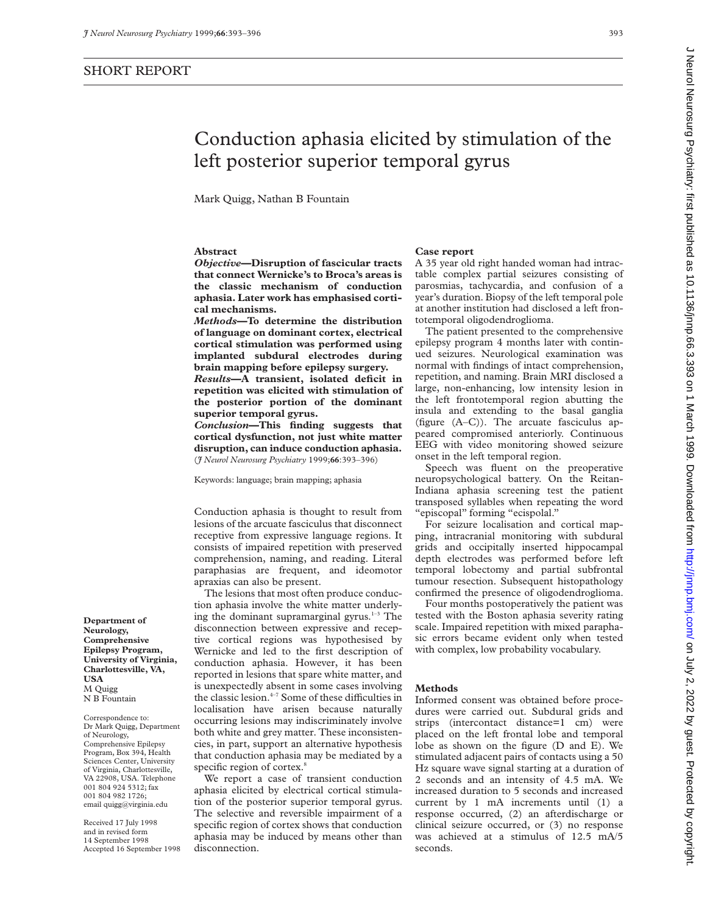Mark Quigg, Nathan B Fountain

## **Abstract**

*Objective***—Disruption of fascicular tracts that connect Wernicke's to Broca's areas is the classic mechanism of conduction aphasia. Later work has emphasised cortical mechanisms.**

*Methods***—To determine the distribution of language on dominant cortex, electrical cortical stimulation was performed using implanted subdural electrodes during brain mapping before epilepsy surgery.**

*Results***—A transient, isolated deficit in repetition was elicited with stimulation of the posterior portion of the dominant superior temporal gyrus.**

*Conclusion***—This finding suggests that cortical dysfunction, not just white matter disruption, can induce conduction aphasia.** (*J Neurol Neurosurg Psychiatry* 1999;**66**:393–396)

Keywords: language; brain mapping; aphasia

Conduction aphasia is thought to result from lesions of the arcuate fasciculus that disconnect receptive from expressive language regions. It consists of impaired repetition with preserved comprehension, naming, and reading. Literal paraphasias are frequent, and ideomotor apraxias can also be present.

The lesions that most often produce conduction aphasia involve the white matter underlying the dominant supramarginal gyrus.<sup>1-3</sup> The disconnection between expressive and receptive cortical regions was hypothesised by Wernicke and led to the first description of conduction aphasia. However, it has been reported in lesions that spare white matter, and is unexpectedly absent in some cases involving the classic lesion. $4-7$  Some of these difficulties in localisation have arisen because naturally occurring lesions may indiscriminately involve both white and grey matter. These inconsistencies, in part, support an alternative hypothesis that conduction aphasia may be mediated by a specific region of cortex.<sup>8</sup>

We report a case of transient conduction aphasia elicited by electrical cortical stimulation of the posterior superior temporal gyrus. The selective and reversible impairment of a specific region of cortex shows that conduction aphasia may be induced by means other than disconnection.

#### **Case report**

A 35 year old right handed woman had intractable complex partial seizures consisting of parosmias, tachycardia, and confusion of a year's duration. Biopsy of the left temporal pole at another institution had disclosed a left frontotemporal oligodendroglioma.

The patient presented to the comprehensive epilepsy program 4 months later with continued seizures. Neurological examination was normal with findings of intact comprehension, repetition, and naming. Brain MRI disclosed a large, non-enhancing, low intensity lesion in the left frontotemporal region abutting the insula and extending to the basal ganglia (figure (A–C)). The arcuate fasciculus appeared compromised anteriorly. Continuous EEG with video monitoring showed seizure onset in the left temporal region.

Speech was fluent on the preoperative neuropsychological battery. On the Reitan-Indiana aphasia screening test the patient transposed syllables when repeating the word "episcopal" forming "ecispolal."

For seizure localisation and cortical mapping, intracranial monitoring with subdural grids and occipitally inserted hippocampal depth electrodes was performed before left temporal lobectomy and partial subfrontal tumour resection. Subsequent histopathology confirmed the presence of oligodendroglioma.

Four months postoperatively the patient was tested with the Boston aphasia severity rating scale. Impaired repetition with mixed paraphasic errors became evident only when tested with complex, low probability vocabulary.

### **Methods**

Informed consent was obtained before procedures were carried out. Subdural grids and strips (intercontact distance=1 cm) were placed on the left frontal lobe and temporal lobe as shown on the figure (D and E). We stimulated adjacent pairs of contacts using a 50 Hz square wave signal starting at a duration of 2 seconds and an intensity of 4.5 mA. We increased duration to 5 seconds and increased current by 1 mA increments until (1) a response occurred, (2) an afterdischarge or clinical seizure occurred, or (3) no response was achieved at a stimulus of 12.5 mA/5 seconds.

**Department of Neurology, Comprehensive Epilepsy Program, University of Virginia, Charlottesville, VA, USA** M Quigg N B Fountain

Correspondence to: Dr Mark Quigg, Department of Neurology, Comprehensive Epilepsy Program, Box 394, Health Sciences Center, University of Virginia, Charlottesville, VA 22908, USA. Telephone 001 804 924 5312; fax 001 804 982 1726; email quigg@virginia.edu

Received 17 July 1998 and in revised form 14 September 1998 Accepted 16 September 1998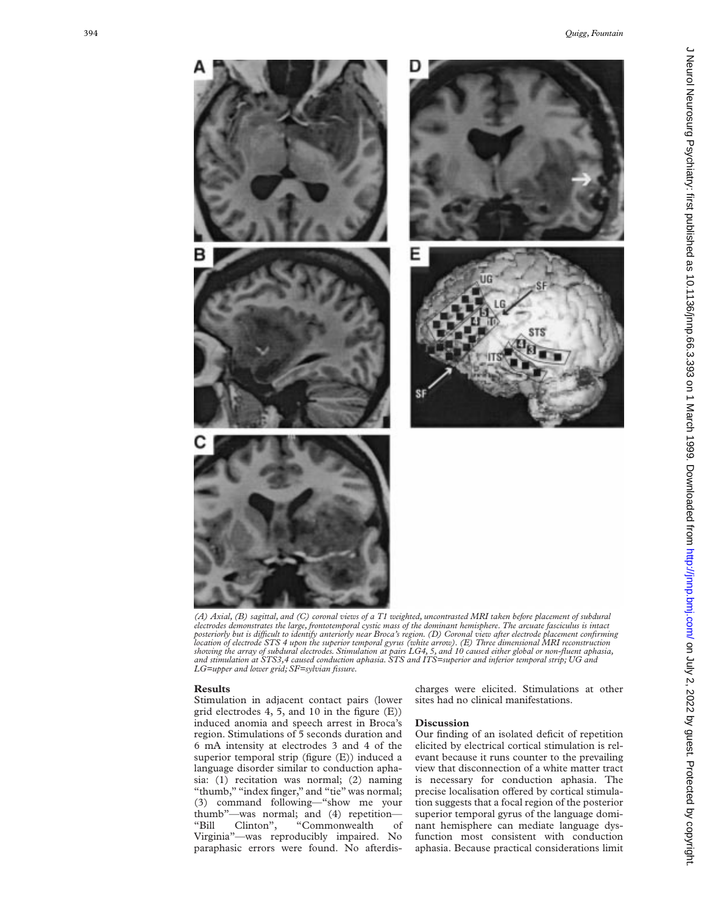

*(A) Axial, (B) sagittal, and (C) coronal views of a T1 weighted, uncontrasted MRI taken before placement of subdural electrodes demonstrates the large, frontotemporal cystic mass of the dominant hemisphere. The arcuate fasciculus is intact posteriorly but is diYcult to identify anteriorly near Broca's region. (D) Coronal view after electrode placement confirming location of electrode STS 4 upon the superior temporal gyrus (white arrow). (E) Three dimensional MRI reconstruction* showing the array of subdural electrodes. Stimulation at pairs LG4, 5, and 10 caused either global or non-fluent aphasia,<br>and stimulation at STS3,4 caused conduction aphasia. STS and ITS=superior and inferior temporal stri *LG=upper and lower grid; SF=sylvian fissure.*

### **Results**

Stimulation in adjacent contact pairs (lower grid electrodes 4, 5, and 10 in the figure (E)) induced anomia and speech arrest in Broca's region. Stimulations of 5 seconds duration and 6 mA intensity at electrodes 3 and 4 of the superior temporal strip (figure (E)) induced a language disorder similar to conduction aphasia: (1) recitation was normal; (2) naming "thumb," "index finger," and "tie" was normal; (3) command following—"show me your thumb"—was normal; and (4) repetition— "Bill Clinton", "Commonwealth of Virginia"—was reproducibly impaired. No paraphasic errors were found. No afterdischarges were elicited. Stimulations at other sites had no clinical manifestations.

# **Discussion**

Our finding of an isolated deficit of repetition elicited by electrical cortical stimulation is relevant because it runs counter to the prevailing view that disconnection of a white matter tract is necessary for conduction aphasia. The precise localisation offered by cortical stimulation suggests that a focal region of the posterior superior temporal gyrus of the language dominant hemisphere can mediate language dysfunction most consistent with conduction aphasia. Because practical considerations limit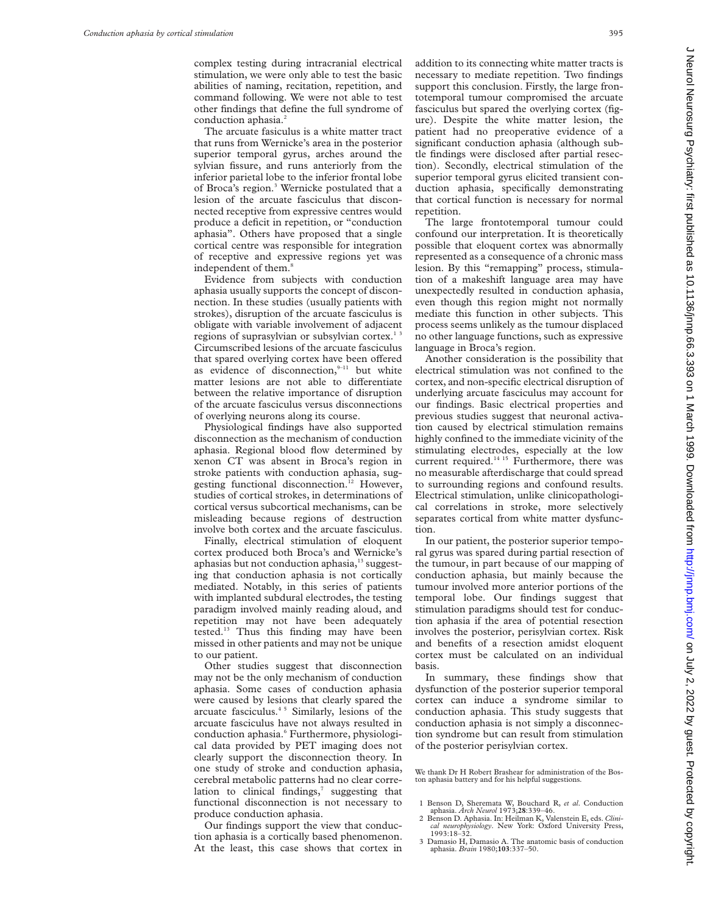complex testing during intracranial electrical stimulation, we were only able to test the basic abilities of naming, recitation, repetition, and command following. We were not able to test other findings that define the full syndrome of conduction aphasia.<sup>2</sup>

The arcuate fasiculus is a white matter tract that runs from Wernicke's area in the posterior superior temporal gyrus, arches around the sylvian fissure, and runs anteriorly from the inferior parietal lobe to the inferior frontal lobe of Broca's region.<sup>3</sup> Wernicke postulated that a lesion of the arcuate fasciculus that disconnected receptive from expressive centres would produce a deficit in repetition, or "conduction aphasia". Others have proposed that a single cortical centre was responsible for integration of receptive and expressive regions yet was independent of them.<sup>8</sup>

Evidence from subjects with conduction aphasia usually supports the concept of disconnection. In these studies (usually patients with strokes), disruption of the arcuate fasciculus is obligate with variable involvement of adjacent regions of suprasylvian or subsylvian cortex.<sup>13</sup> Circumscribed lesions of the arcuate fasciculus that spared overlying cortex have been offered as evidence of disconnection, $9-11$  but white matter lesions are not able to differentiate between the relative importance of disruption of the arcuate fasciculus versus disconnections of overlying neurons along its course.

Physiological findings have also supported disconnection as the mechanism of conduction aphasia. Regional blood flow determined by xenon CT was absent in Broca's region in stroke patients with conduction aphasia, suggesting functional disconnection.<sup>12</sup> However, studies of cortical strokes, in determinations of cortical versus subcortical mechanisms, can be misleading because regions of destruction involve both cortex and the arcuate fasciculus.

Finally, electrical stimulation of eloquent cortex produced both Broca's and Wernicke's aphasias but not conduction aphasia, $13$  suggesting that conduction aphasia is not cortically mediated. Notably, in this series of patients with implanted subdural electrodes, the testing paradigm involved mainly reading aloud, and repetition may not have been adequately tested.13 Thus this finding may have been missed in other patients and may not be unique to our patient.

Other studies suggest that disconnection may not be the only mechanism of conduction aphasia. Some cases of conduction aphasia were caused by lesions that clearly spared the arcuate fasciculus.<sup>45</sup> Similarly, lesions of the arcuate fasciculus have not always resulted in conduction aphasia.<sup>6</sup> Furthermore, physiological data provided by PET imaging does not clearly support the disconnection theory. In one study of stroke and conduction aphasia, cerebral metabolic patterns had no clear correlation to clinical findings, $7$  suggesting that functional disconnection is not necessary to produce conduction aphasia.

Our findings support the view that conduction aphasia is a cortically based phenomenon. At the least, this case shows that cortex in addition to its connecting white matter tracts is necessary to mediate repetition. Two findings support this conclusion. Firstly, the large frontotemporal tumour compromised the arcuate fasciculus but spared the overlying cortex (figure). Despite the white matter lesion, the patient had no preoperative evidence of a significant conduction aphasia (although subtle findings were disclosed after partial resection). Secondly, electrical stimulation of the superior temporal gyrus elicited transient conduction aphasia, specifically demonstrating that cortical function is necessary for normal repetition.

The large frontotemporal tumour could confound our interpretation. It is theoretically possible that eloquent cortex was abnormally represented as a consequence of a chronic mass lesion. By this "remapping" process, stimulation of a makeshift language area may have unexpectedly resulted in conduction aphasia, even though this region might not normally mediate this function in other subjects. This process seems unlikely as the tumour displaced no other language functions, such as expressive language in Broca's region.

Another consideration is the possibility that electrical stimulation was not confined to the cortex, and non-specific electrical disruption of underlying arcuate fasciculus may account for our findings. Basic electrical properties and previous studies suggest that neuronal activation caused by electrical stimulation remains highly confined to the immediate vicinity of the stimulating electrodes, especially at the low current required.<sup>14 15</sup> Furthermore, there was no measurable afterdischarge that could spread to surrounding regions and confound results. Electrical stimulation, unlike clinicopathological correlations in stroke, more selectively separates cortical from white matter dysfunction.

In our patient, the posterior superior temporal gyrus was spared during partial resection of the tumour, in part because of our mapping of conduction aphasia, but mainly because the tumour involved more anterior portions of the temporal lobe. Our findings suggest that stimulation paradigms should test for conduction aphasia if the area of potential resection involves the posterior, perisylvian cortex. Risk and benefits of a resection amidst eloquent cortex must be calculated on an individual basis.

In summary, these findings show that dysfunction of the posterior superior temporal cortex can induce a syndrome similar to conduction aphasia. This study suggests that conduction aphasia is not simply a disconnection syndrome but can result from stimulation of the posterior perisylvian cortex.

We thank Dr H Robert Brashear for administration of the Boston aphasia battery and for his helpful suggestions.

- 1 Benson D, Sheremata W, Bouchard R, *et al*. Conduction aphasia. *Arch Neurol* 1973;**28**:339–46.
- 2 Benson D. Aphasia. In: Heilman K, Valenstein E, eds. *Clini-cal neurophysiology*. New York: Oxford University Press,  $1993.18 - 32.$
- 3 Damasio H, Damasio A. The anatomic basis of conduction aphasia. *Brain* 1980;**103**:337–50.